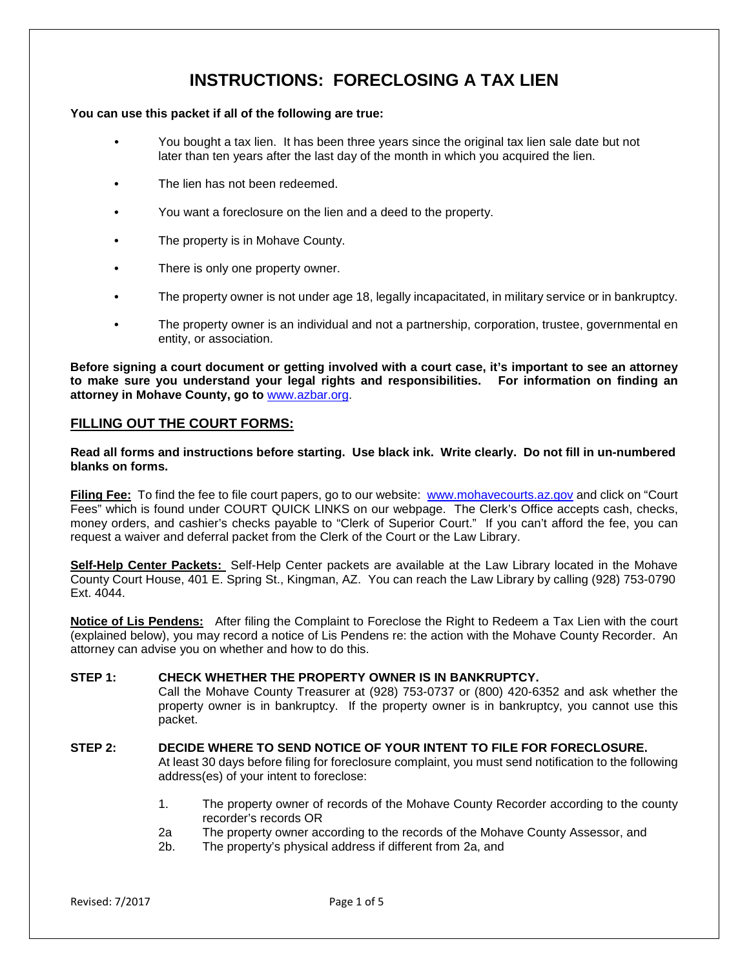# **INSTRUCTIONS: FORECLOSING A TAX LIEN**

#### **You can use this packet if all of the following are true:**

- **•** You bought a tax lien. It has been three years since the original tax lien sale date but not later than ten years after the last day of the month in which you acquired the lien.
- **•** The lien has not been redeemed.
- **•** You want a foreclosure on the lien and a deed to the property.
- **•** The property is in Mohave County.
- There is only one property owner.
- **•** The property owner is not under age 18, legally incapacitated, in military service or in bankruptcy.
- **•** The property owner is an individual and not a partnership, corporation, trustee, governmental en entity, or association.

**Before signing a court document or getting involved with a court case, it's important to see an attorney to make sure you understand your legal rights and responsibilities. For information on finding an attorney in Mohave County, go to** [www.azbar.org.](http://www.azbar.org/)

# **FILLING OUT THE COURT FORMS:**

### **Read all forms and instructions before starting. Use black ink. Write clearly. Do not fill in un-numbered blanks on forms.**

**Filing Fee:** To find the fee to file court papers, go to our website: [www.mohavecourts.az.gov](http://www.mohavecourts.az.gov/) and click on "Court Fees" which is found under COURT QUICK LINKS on our webpage. The Clerk's Office accepts cash, checks, money orders, and cashier's checks payable to "Clerk of Superior Court." If you can't afford the fee, you can request a waiver and deferral packet from the Clerk of the Court or the Law Library.

**Self-Help Center Packets:** Self-Help Center packets are available at the Law Library located in the Mohave County Court House, 401 E. Spring St., Kingman, AZ. You can reach the Law Library by calling (928) 753-0790 Ext. 4044.

**Notice of Lis Pendens:** After filing the Complaint to Foreclose the Right to Redeem a Tax Lien with the court (explained below), you may record a notice of Lis Pendens re: the action with the Mohave County Recorder. An attorney can advise you on whether and how to do this.

#### **STEP 1: CHECK WHETHER THE PROPERTY OWNER IS IN BANKRUPTCY.**

Call the Mohave County Treasurer at (928) 753-0737 or (800) 420-6352 and ask whether the property owner is in bankruptcy. If the property owner is in bankruptcy, you cannot use this packet.

#### **STEP 2: DECIDE WHERE TO SEND NOTICE OF YOUR INTENT TO FILE FOR FORECLOSURE.**

At least 30 days before filing for foreclosure complaint, you must send notification to the following address(es) of your intent to foreclose:

- 1. The property owner of records of the Mohave County Recorder according to the county recorder's records OR
- 2a The property owner according to the records of the Mohave County Assessor, and
- 2b. The property's physical address if different from 2a, and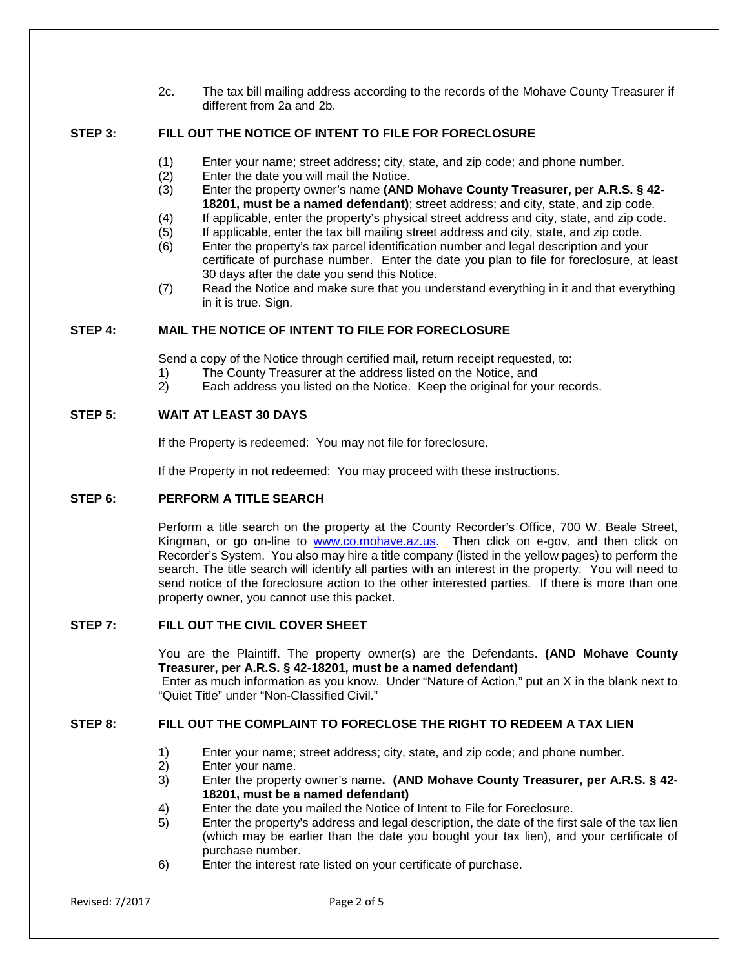2c. The tax bill mailing address according to the records of the Mohave County Treasurer if different from 2a and 2b.

# **STEP 3: FILL OUT THE NOTICE OF INTENT TO FILE FOR FORECLOSURE**

- (1) Enter your name; street address; city, state, and zip code; and phone number.
- (2) Enter the date you will mail the Notice.
- (3) Enter the property owner's name **(AND Mohave County Treasurer, per A.R.S. § 42- 18201, must be a named defendant)**; street address; and city, state, and zip code.
- (4) If applicable, enter the property's physical street address and city, state, and zip code.
- (5) If applicable, enter the tax bill mailing street address and city, state, and zip code.
- (6) Enter the property's tax parcel identification number and legal description and your certificate of purchase number. Enter the date you plan to file for foreclosure, at least 30 days after the date you send this Notice.
- (7) Read the Notice and make sure that you understand everything in it and that everything in it is true. Sign.

# **STEP 4: MAIL THE NOTICE OF INTENT TO FILE FOR FORECLOSURE**

Send a copy of the Notice through certified mail, return receipt requested, to:

- 1) The County Treasurer at the address listed on the Notice, and
- 2) Each address you listed on the Notice. Keep the original for your records.

# **STEP 5: WAIT AT LEAST 30 DAYS**

If the Property is redeemed: You may not file for foreclosure.

If the Property in not redeemed: You may proceed with these instructions.

### **STEP 6: PERFORM A TITLE SEARCH**

Perform a title search on the property at the County Recorder's Office, 700 W. Beale Street, Kingman, or go on-line to [www.co.mohave.az.us.](http://www.co.mohave.az.us/) Then click on e-gov, and then click on Recorder's System. You also may hire a title company (listed in the yellow pages) to perform the search. The title search will identify all parties with an interest in the property. You will need to send notice of the foreclosure action to the other interested parties. If there is more than one property owner, you cannot use this packet.

# **STEP 7: FILL OUT THE CIVIL COVER SHEET**

You are the Plaintiff. The property owner(s) are the Defendants. **(AND Mohave County Treasurer, per A.R.S. § 42-18201, must be a named defendant)** Enter as much information as you know. Under "Nature of Action," put an X in the blank next to "Quiet Title" under "Non-Classified Civil."

#### **STEP 8: FILL OUT THE COMPLAINT TO FORECLOSE THE RIGHT TO REDEEM A TAX LIEN**

- 1) Enter your name; street address; city, state, and zip code; and phone number.
- Enter your name.
- 3) Enter the property owner's name**. (AND Mohave County Treasurer, per A.R.S. § 42- 18201, must be a named defendant)**
- 4) Enter the date you mailed the Notice of Intent to File for Foreclosure.
- 5) Enter the property's address and legal description, the date of the first sale of the tax lien (which may be earlier than the date you bought your tax lien), and your certificate of purchase number.
- 6) Enter the interest rate listed on your certificate of purchase.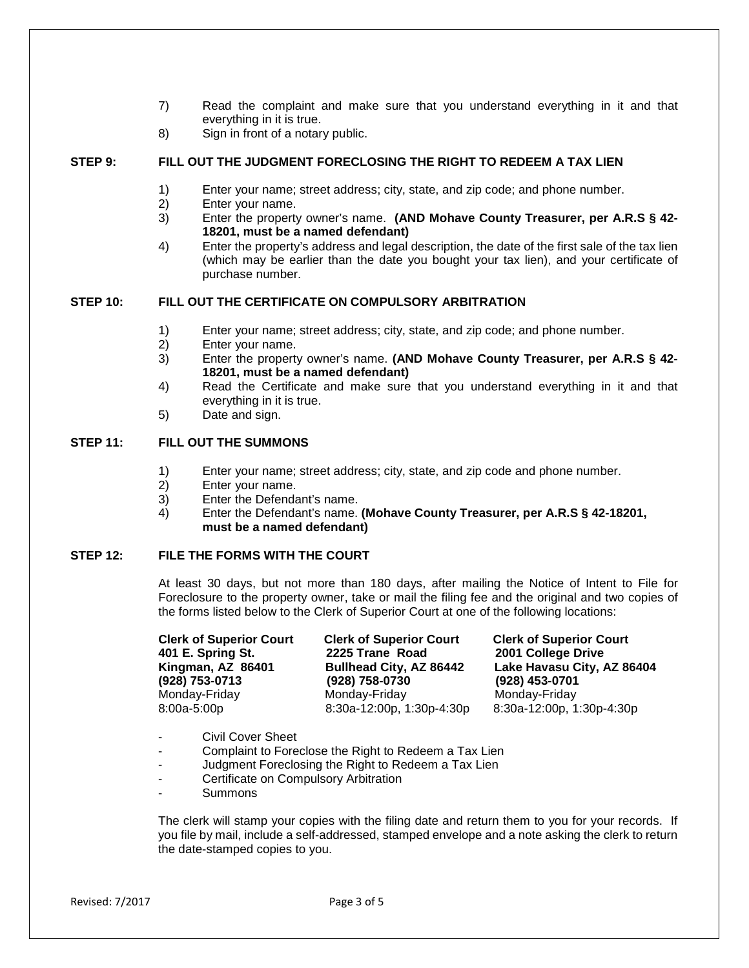- 7) Read the complaint and make sure that you understand everything in it and that everything in it is true.
- 8) Sign in front of a notary public.

#### **STEP 9: FILL OUT THE JUDGMENT FORECLOSING THE RIGHT TO REDEEM A TAX LIEN**

- 1) Enter your name; street address; city, state, and zip code; and phone number.
- 2) Enter your name.<br>3) Enter the property
- 3) Enter the property owner's name. **(AND Mohave County Treasurer, per A.R.S § 42- 18201, must be a named defendant)**
- 4) Enter the property's address and legal description, the date of the first sale of the tax lien (which may be earlier than the date you bought your tax lien), and your certificate of purchase number.

# **STEP 10: FILL OUT THE CERTIFICATE ON COMPULSORY ARBITRATION**

- 1) Enter your name; street address; city, state, and zip code; and phone number.
- 2) Enter your name.
- 3) Enter the property owner's name. **(AND Mohave County Treasurer, per A.R.S § 42- 18201, must be a named defendant)**
- 4) Read the Certificate and make sure that you understand everything in it and that everything in it is true.
- 5) Date and sign.

# **STEP 11: FILL OUT THE SUMMONS**

- 1) Enter your name; street address; city, state, and zip code and phone number.
- 2) Enter your name.
- 3) Enter the Defendant's name.
- 4) Enter the Defendant's name. **(Mohave County Treasurer, per A.R.S § 42-18201, must be a named defendant)**

#### **STEP 12: FILE THE FORMS WITH THE COURT**

At least 30 days, but not more than 180 days, after mailing the Notice of Intent to File for Foreclosure to the property owner, take or mail the filing fee and the original and two copies of the forms listed below to the Clerk of Superior Court at one of the following locations:

**Clerk of Superior Court Clerk of Superior Court Clerk of Superior Court Bullhead City, AZ 86442 (928) 753-0713 (928) 758-0730 (928) 453-0701**  Monday-Friday Monday-Friday Monday-Friday 8:00a-5:00p 8:30a-12:00p, 1:30p-4:30p 8:30a-12:00p, 1:30p-4:30p

**401 E. Spring St. 2225 Trane Road 2001 College Drive**

- Civil Cover Sheet
- Complaint to Foreclose the Right to Redeem a Tax Lien
- Judgment Foreclosing the Right to Redeem a Tax Lien
- Certificate on Compulsory Arbitration
- **Summons**

The clerk will stamp your copies with the filing date and return them to you for your records. If you file by mail, include a self-addressed, stamped envelope and a note asking the clerk to return the date-stamped copies to you.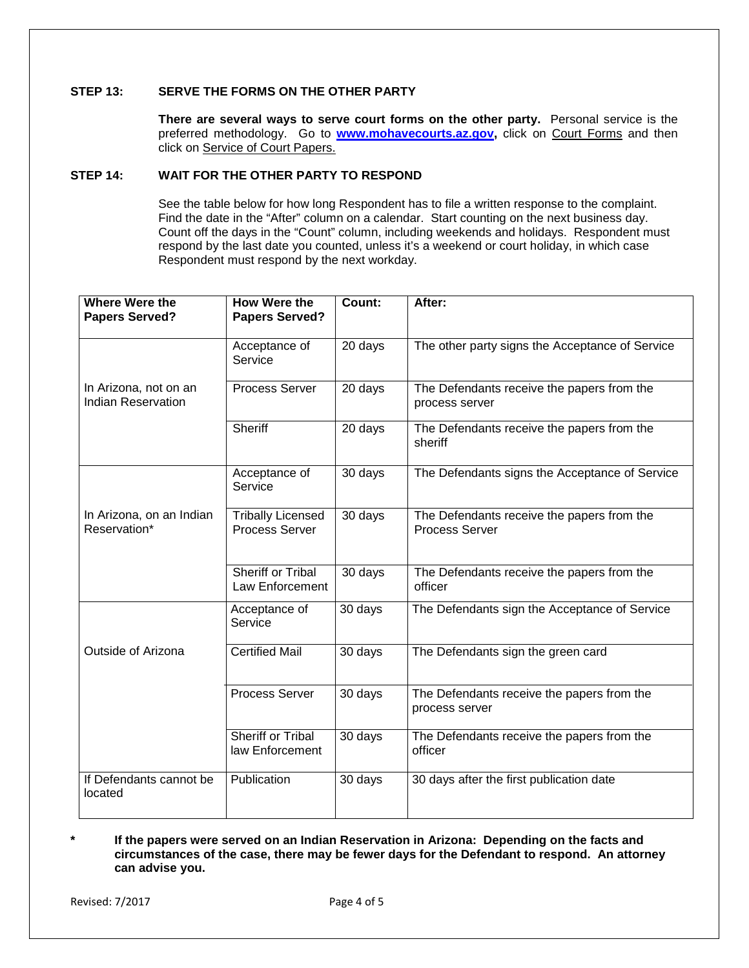## **STEP 13: SERVE THE FORMS ON THE OTHER PARTY**

**There are several ways to serve court forms on the other party.** Personal service is the preferred methodology. Go to **[www.mohavecourts.az.gov,](http://www.mohavecourts.az.gov/)** click on Court Forms and then click on Service of Court Papers.

# **STEP 14: WAIT FOR THE OTHER PARTY TO RESPOND**

See the table below for how long Respondent has to file a written response to the complaint. Find the date in the "After" column on a calendar. Start counting on the next business day. Count off the days in the "Count" column, including weekends and holidays. Respondent must respond by the last date you counted, unless it's a weekend or court holiday, in which case Respondent must respond by the next workday.

| <b>Where Were the</b><br><b>Papers Served?</b>     | <b>How Were the</b><br><b>Papers Served?</b> | Count:  | After:                                                              |
|----------------------------------------------------|----------------------------------------------|---------|---------------------------------------------------------------------|
|                                                    | Acceptance of<br>Service                     | 20 days | The other party signs the Acceptance of Service                     |
| In Arizona, not on an<br><b>Indian Reservation</b> | Process Server                               | 20 days | The Defendants receive the papers from the<br>process server        |
|                                                    | Sheriff                                      | 20 days | The Defendants receive the papers from the<br>sheriff               |
|                                                    | Acceptance of<br>Service                     | 30 days | The Defendants signs the Acceptance of Service                      |
| In Arizona, on an Indian<br>Reservation*           | <b>Tribally Licensed</b><br>Process Server   | 30 days | The Defendants receive the papers from the<br><b>Process Server</b> |
|                                                    | Sheriff or Tribal<br>Law Enforcement         | 30 days | The Defendants receive the papers from the<br>officer               |
|                                                    | Acceptance of<br>Service                     | 30 days | The Defendants sign the Acceptance of Service                       |
| Outside of Arizona                                 | <b>Certified Mail</b>                        | 30 days | The Defendants sign the green card                                  |
|                                                    | Process Server                               | 30 days | The Defendants receive the papers from the<br>process server        |
|                                                    | Sheriff or Tribal<br>law Enforcement         | 30 days | The Defendants receive the papers from the<br>officer               |
| If Defendants cannot be<br>located                 | Publication                                  | 30 days | 30 days after the first publication date                            |

**\* If the papers were served on an Indian Reservation in Arizona: Depending on the facts and circumstances of the case, there may be fewer days for the Defendant to respond. An attorney can advise you.**